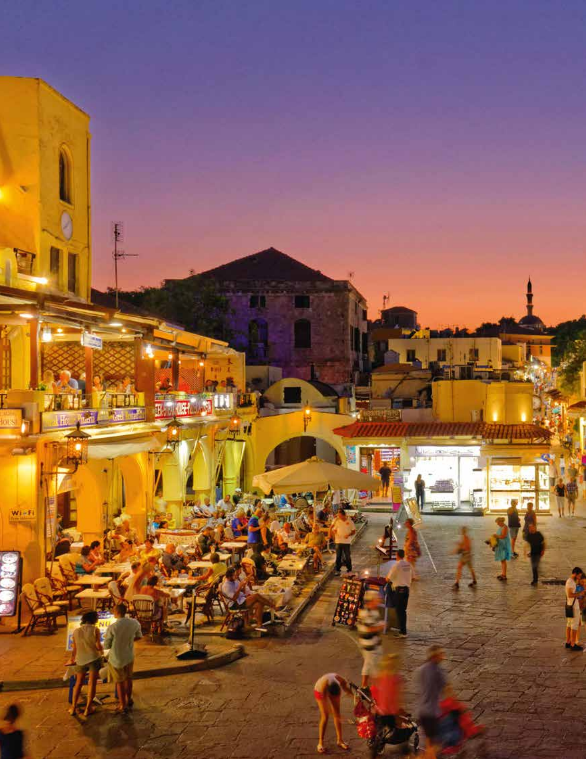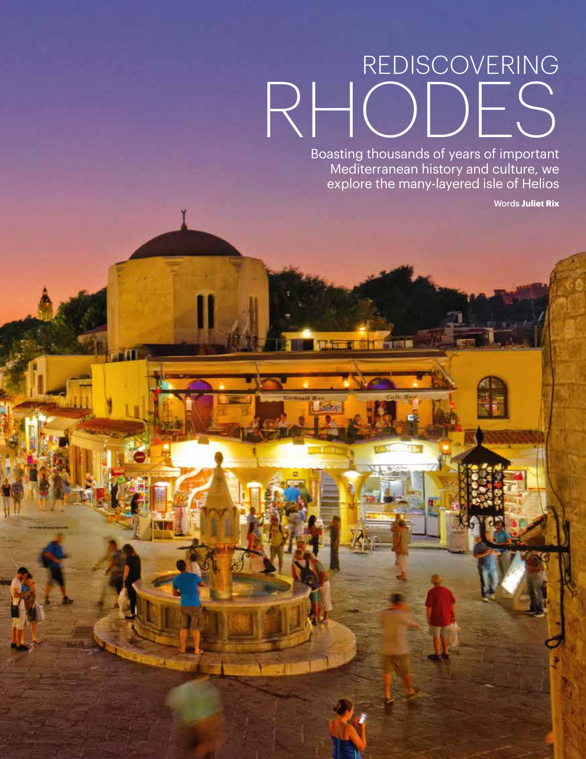# REDISCOVERING RHODES

**TIME AT THE** 

**Cashu** 

Boasting thousands of years of important Mediterranean history and culture, we explore the many-layered isle of Helios

Words **Juliet Rix**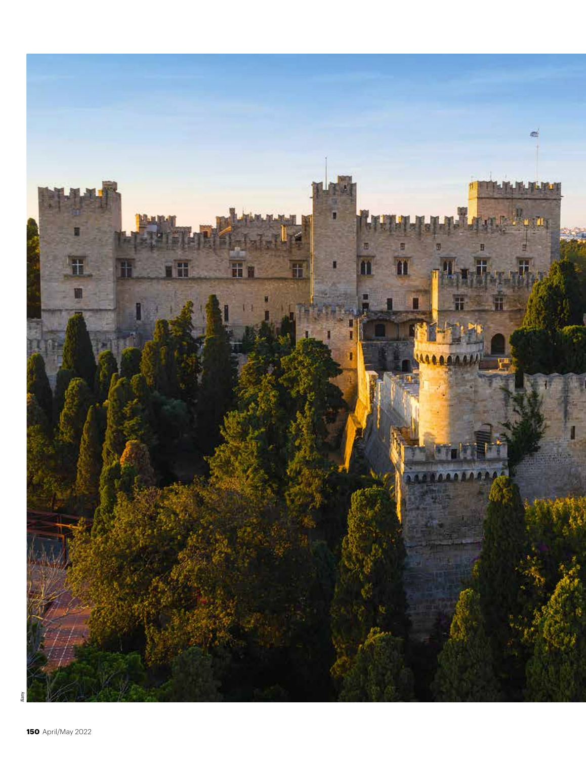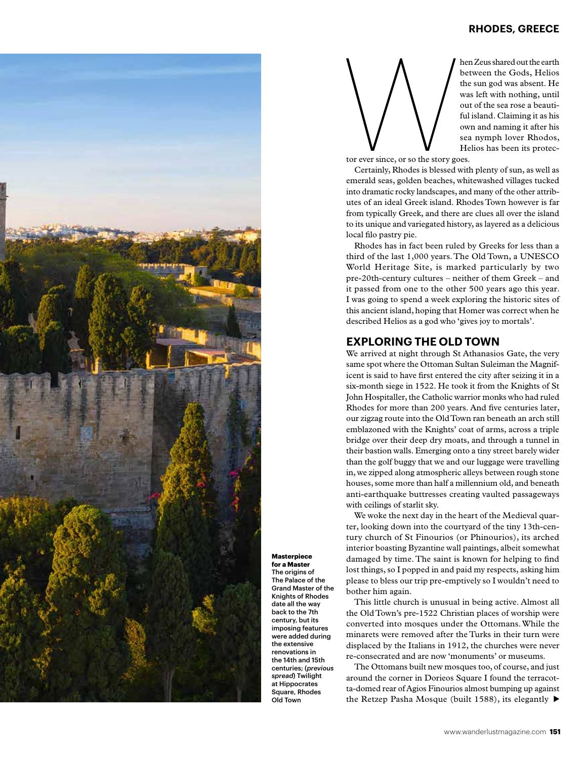**RHODES, GREECE**

between the Gods, Helios

Men Zeus shared out the earth<br>between the Gods, Helios<br>the sun god was absent. He<br>was left with nothing, until<br>out of the sea rose a beauti-<br>ful island. Claiming it as his<br>own and naming it after his<br>sea nymph lover Rhodos the sun god was absent. He was left with nothing, until out of the sea rose a beautiful island. Claiming it as his own and naming it after his sea nymph lover Rhodos, Helios has been its protec-

tor ever since, or so the story goes.

Certainly, Rhodes is blessed with plenty of sun, as well as emerald seas, golden beaches, whitewashed villages tucked into dramatic rocky landscapes, and many of the other attributes of an ideal Greek island. Rhodes Town however is far from typically Greek, and there are clues all over the island to its unique and variegated history, as layered as a delicious local filo pastry pie.

Rhodes has in fact been ruled by Greeks for less than a third of the last 1,000 years. The Old Town, a UNESCO World Heritage Site, is marked particularly by two pre-20th-century cultures – neither of them Greek – and it passed from one to the other 500 years ago this year. I was going to spend a week exploring the historic sites of this ancient island, hoping that Homer was correct when he described Helios as a god who 'gives joy to mortals'.

# **EXPLORING THE OLD TOWN**

We arrived at night through St Athanasios Gate, the very same spot where the Ottoman Sultan Suleiman the Magnificent is said to have first entered the city after seizing it in a six-month siege in 1522. He took it from the Knights of St John Hospitaller, the Catholic warrior monks who had ruled Rhodes for more than 200 years. And five centuries later, our zigzag route into the Old Town ran beneath an arch still emblazoned with the Knights' coat of arms, across a triple bridge over their deep dry moats, and through a tunnel in their bastion walls. Emerging onto a tiny street barely wider than the golf buggy that we and our luggage were travelling in, we zipped along atmospheric alleys between rough stone houses, some more than half a millennium old, and beneath anti-earthquake buttresses creating vaulted passageways with ceilings of starlit sky.

We woke the next day in the heart of the Medieval quarter, looking down into the courtyard of the tiny 13th-century church of St Finourios (or Phinourios), its arched interior boasting Byzantine wall paintings, albeit somewhat damaged by time. The saint is known for helping to find lost things, so I popped in and paid my respects, asking him please to bless our trip pre-emptively so I wouldn't need to bother him again.

This little church is unusual in being active. Almost all the Old Town's pre-1522 Christian places of worship were converted into mosques under the Ottomans. While the minarets were removed after the Turks in their turn were displaced by the Italians in 1912, the churches were never re-consecrated and are now 'monuments' or museums.

The Ottomans built new mosques too, of course, and just around the corner in Dorieos Square I found the terracotta-domed rear of Agios Finourios almost bumping up against the Retzep Pasha Mosque (built 1588), its elegantly Old Town ⊲



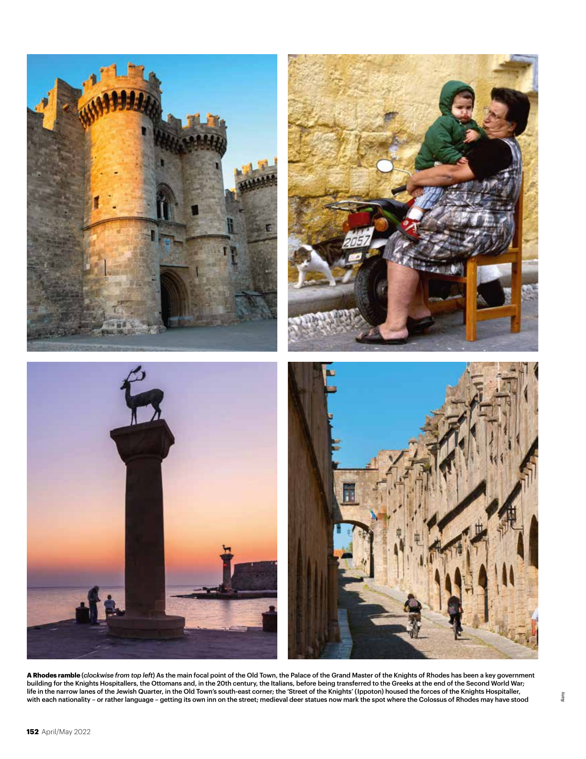

**A Rhodes ramble** (*clockwise from top left*) As the main focal point of the Old Town, the Palace of the Grand Master of the Knights of Rhodes has been a key government building for the Knights Hospitallers, the Ottomans and, in the 20th century, the Italians, before being transferred to the Greeks at the end of the Second World War; life in the narrow lanes of the Jewish Quarter, in the Old Town's south-east corner; the 'Street of the Knights' (Ippoton) housed the forces of the Knights Hospitaller, with each nationality – or rather language – getting its own inn on the street; medieval deer statues now mark the spot where the Colossus of Rhodes may have stood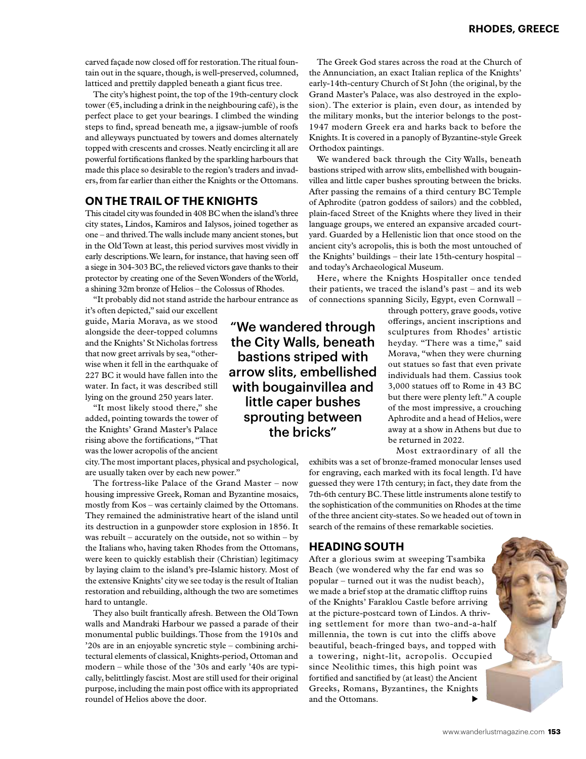carved façade now closed off for restoration. The ritual fountain out in the square, though, is well-preserved, columned, latticed and prettily dappled beneath a giant ficus tree.

The city's highest point, the top of the 19th-century clock tower ( $\epsilon$ 5, including a drink in the neighbouring café), is the perfect place to get your bearings. I climbed the winding steps to find, spread beneath me, a jigsaw-jumble of roofs and alleyways punctuated by towers and domes alternately topped with crescents and crosses. Neatly encircling it all are powerful fortifications flanked by the sparkling harbours that made this place so desirable to the region's traders and invaders, from far earlier than either the Knights or the Ottomans.

### **ON THE TRAIL OF THE KNIGHTS**

This citadel city was founded in 408 BC when the island's three city states, Lindos, Kamiros and Ialysos, joined together as one – and thrived. The walls include many ancient stones, but in the Old Town at least, this period survives most vividly in early descriptions. We learn, for instance, that having seen off a siege in 304-303 BC, the relieved victors gave thanks to their protector by creating one of the Seven Wonders of the World, a shining 32m bronze of Helios – the Colossus of Rhodes.

"It probably did not stand astride the harbour entrance as

it's often depicted," said our excellent guide, Maria Morava, as we stood alongside the deer-topped columns and the Knights' St Nicholas fortress that now greet arrivals by sea, "otherwise when it fell in the earthquake of 227 BC it would have fallen into the water. In fact, it was described still lying on the ground 250 years later.

"It most likely stood there," she added, pointing towards the tower of the Knights' Grand Master's Palace rising above the fortifications, "That was the lower acropolis of the ancient

city. The most important places, physical and psychological, are usually taken over by each new power."

The fortress-like Palace of the Grand Master – now housing impressive Greek, Roman and Byzantine mosaics, mostly from Kos – was certainly claimed by the Ottomans. They remained the administrative heart of the island until its destruction in a gunpowder store explosion in 1856. It was rebuilt – accurately on the outside, not so within – by the Italians who, having taken Rhodes from the Ottomans, were keen to quickly establish their (Christian) legitimacy by laying claim to the island's pre-Islamic history. Most of the extensive Knights' city we see today is the result of Italian restoration and rebuilding, although the two are sometimes hard to untangle.

They also built frantically afresh. Between the Old Town walls and Mandraki Harbour we passed a parade of their monumental public buildings. Those from the 1910s and '20s are in an enjoyable syncretic style – combining architectural elements of classical, Knights-period, Ottoman and modern – while those of the '30s and early '40s are typically, belittlingly fascist. Most are still used for their original purpose, including the main post office with its appropriated roundel of Helios above the door.

The Greek God stares across the road at the Church of the Annunciation, an exact Italian replica of the Knights' early-14th-century Church of St John (the original, by the Grand Master's Palace, was also destroyed in the explosion). The exterior is plain, even dour, as intended by the military monks, but the interior belongs to the post-1947 modern Greek era and harks back to before the Knights. It is covered in a panoply of Byzantine-style Greek Orthodox paintings.

We wandered back through the City Walls, beneath bastions striped with arrow slits, embellished with bougainvillea and little caper bushes sprouting between the bricks. After passing the remains of a third century BC Temple of Aphrodite (patron goddess of sailors) and the cobbled, plain-faced Street of the Knights where they lived in their language groups, we entered an expansive arcaded courtyard. Guarded by a Hellenistic lion that once stood on the ancient city's acropolis, this is both the most untouched of the Knights' buildings – their late 15th-century hospital – and today's Archaeological Museum.

Here, where the Knights Hospitaller once tended their patients, we traced the island's past – and its web of connections spanning Sicily, Egypt, even Cornwall –

> through pottery, grave goods, votive offerings, ancient inscriptions and sculptures from Rhodes' artistic heyday. "There was a time," said Morava, "when they were churning out statues so fast that even private individuals had them. Cassius took 3,000 statues off to Rome in 43 BC but there were plenty left." A couple of the most impressive, a crouching Aphrodite and a head of Helios, were away at a show in Athens but due to be returned in 2022.

Most extraordinary of all the

exhibits was a set of bronze-framed monocular lenses used for engraving, each marked with its focal length. I'd have guessed they were 17th century; in fact, they date from the 7th-6th century BC. These little instruments alone testify to the sophistication of the communities on Rhodes at the time of the three ancient city-states. So we headed out of town in search of the remains of these remarkable societies.

### **HEADING SOUTH**

After a glorious swim at sweeping Tsambika Beach (we wondered why the far end was so popular – turned out it was the nudist beach), we made a brief stop at the dramatic clifftop ruins of the Knights' Faraklou Castle before arriving at the picture-postcard town of Lindos. A thriving settlement for more than two-and-a-half millennia, the town is cut into the cliffs above beautiful, beach-fringed bays, and topped with a towering, night-lit, acropolis. Occupied since Neolithic times, this high point was fortified and sanctified by (at least) the Ancient Greeks, Romans, Byzantines, the Knights and the Ottomans. ⊲

the City Walls, beneath bastions striped with arrow slits, embellished with bougainvillea and little caper bushes sprouting between the bricks"

"We wandered through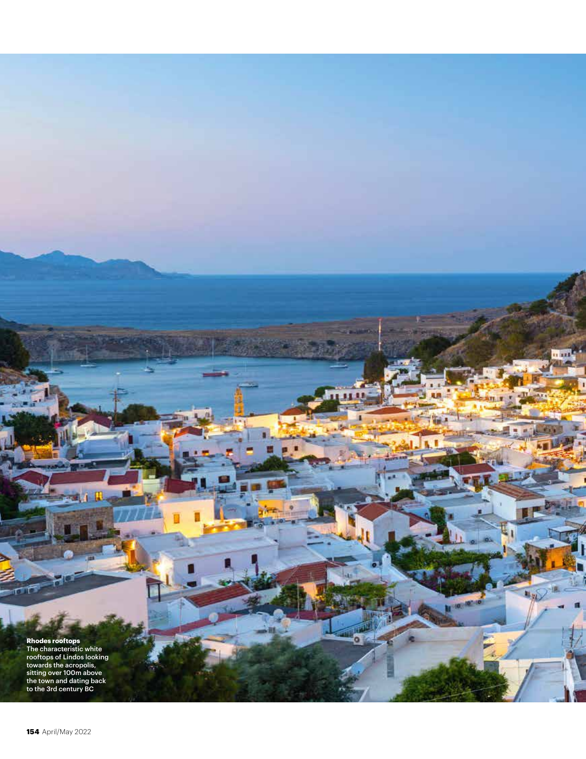**Rhodes rooftops** The characteristic white rooftops of Lindos looking towards the acropolis, sitting over 100m above the town and dating back to the 3rd century BC

n aal

**PEDIX** 

ti.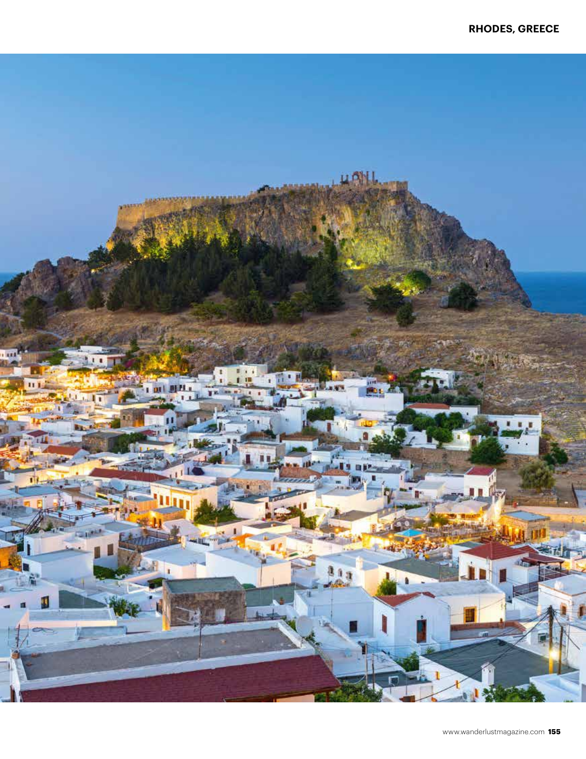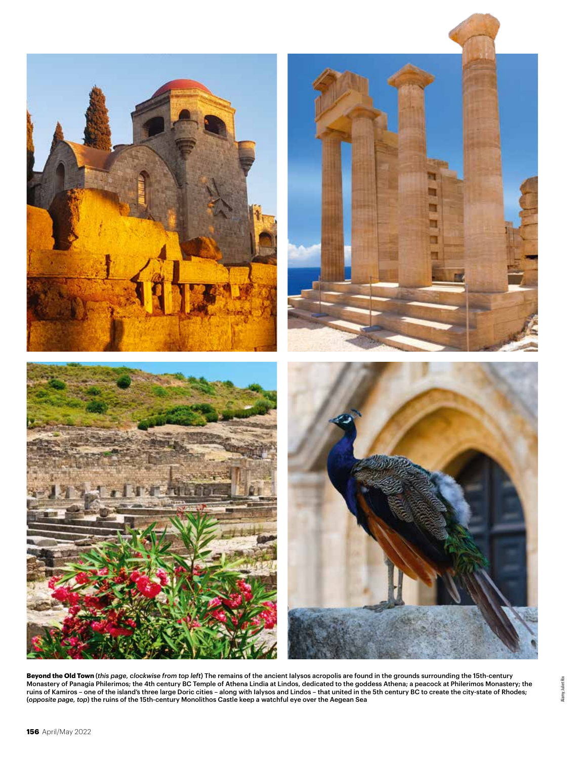

**Beyond the Old Town** (*this page, clockwise from top left*) The remains of the ancient Ialysos acropolis are found in the grounds surrounding the 15th-century Monastery of Panagia Philerimos; the 4th century BC Temple of Athena Lindia at Lindos, dedicated to the goddess Athena; a peacock at Philerimos Monastery; the ruins of Kamiros – one of the island's three large Doric cities – along with Ialysos and Lindos – that united in the 5th century BC to create the city-state of Rhodes; (*opposite page, top*) the ruins of the 15th-century Monolithos Castle keep a watchful eye over the Aegean Sea